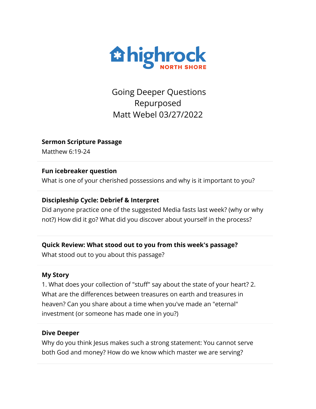

Going Deeper Questions Repurposed Matt Webel 03/27/2022

**Sermon Scripture Passage**

Matthew 6:19-24

## **Fun icebreaker question**

What is one of your cherished possessions and why is it important to you?

# **Discipleship Cycle: Debrief & Interpret**

Did anyone practice one of the suggested Media fasts last week? (why or why not?) How did it go? What did you discover about yourself in the process?

# **Quick Review: What stood out to you from this week's passage?**

What stood out to you about this passage?

# **My Story**

1. What does your collection of "stuff" say about the state of your heart? 2. What are the differences between treasures on earth and treasures in heaven? Can you share about a time when you've made an "eternal" investment (or someone has made one in you?)

# **Dive Deeper**

Why do you think Jesus makes such a strong statement: You cannot serve both God and money? How do we know which master we are serving?